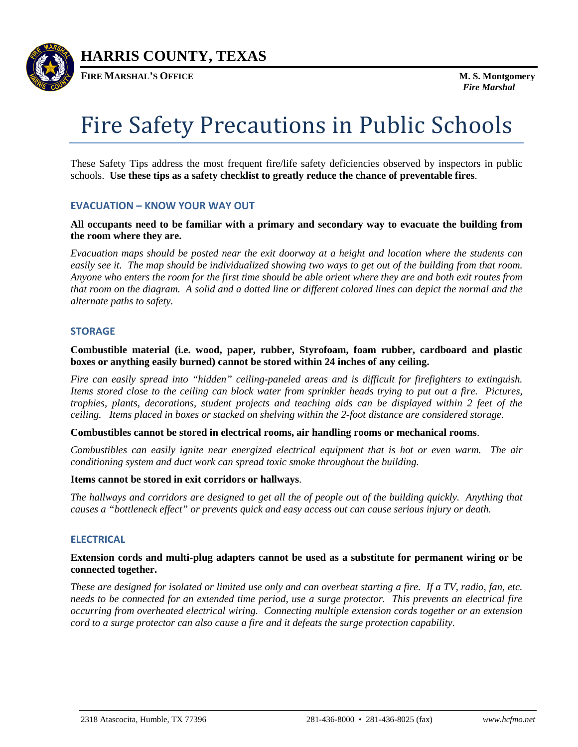

**HARRIS COUNTY, TEXAS**

**FIRE MARSHAL'S OFFICE M. S. Montgomery**

# Fire Safety Precautions in Public Schools

These Safety Tips address the most frequent fire/life safety deficiencies observed by inspectors in public schools. **Use these tips as a safety checklist to greatly reduce the chance of preventable fires**.

# **EVACUATION – KNOW YOUR WAY OUT**

**All occupants need to be familiar with a primary and secondary way to evacuate the building from the room where they are.** 

*Evacuation maps should be posted near the exit doorway at a height and location where the students can easily see it. The map should be individualized showing two ways to get out of the building from that room. Anyone who enters the room for the first time should be able orient where they are and both exit routes from that room on the diagram. A solid and a dotted line or different colored lines can depict the normal and the alternate paths to safety.* 

## **STORAGE**

**Combustible material (i.e. wood, paper, rubber, Styrofoam, foam rubber, cardboard and plastic boxes or anything easily burned) cannot be stored within 24 inches of any ceiling.** 

*Fire can easily spread into "hidden" ceiling-paneled areas and is difficult for firefighters to extinguish. Items stored close to the ceiling can block water from sprinkler heads trying to put out a fire. Pictures, trophies, plants, decorations, student projects and teaching aids can be displayed within 2 feet of the ceiling. Items placed in boxes or stacked on shelving within the 2-foot distance are considered storage.* 

**Combustibles cannot be stored in electrical rooms, air handling rooms or mechanical rooms**.

*Combustibles can easily ignite near energized electrical equipment that is hot or even warm. The air conditioning system and duct work can spread toxic smoke throughout the building.* 

#### **Items cannot be stored in exit corridors or hallways**.

*The hallways and corridors are designed to get all the of people out of the building quickly. Anything that causes a "bottleneck effect" or prevents quick and easy access out can cause serious injury or death.*

# **ELECTRICAL**

# **Extension cords and multi-plug adapters cannot be used as a substitute for permanent wiring or be connected together.**

*These are designed for isolated or limited use only and can overheat starting a fire. If a TV, radio, fan, etc. needs to be connected for an extended time period, use a surge protector. This prevents an electrical fire occurring from overheated electrical wiring. Connecting multiple extension cords together or an extension cord to a surge protector can also cause a fire and it defeats the surge protection capability.*